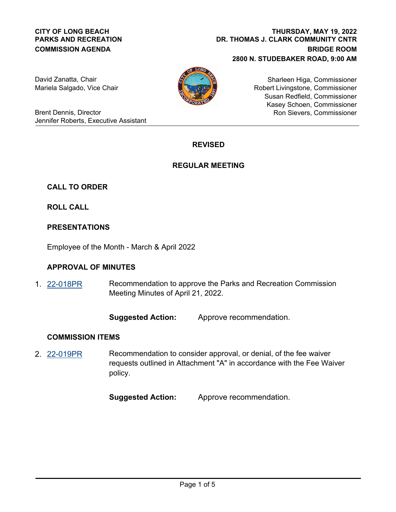### **CITY OF LONG BEACH PARKS AND RECREATION COMMISSION AGENDA**

**DR. THOMAS J. CLARK COMMUNITY CNTR BRIDGE ROOM 2800 N. STUDEBAKER ROAD, 9:00 AM THURSDAY, MAY 19, 2022**

David Zanatta, Chair Mariela Salgado, Vice Chair



Sharleen Higa, Commissioner Robert Livingstone, Commissioner Susan Redfield, Commissioner Kasey Schoen, Commissioner Ron Sievers, Commissioner

Brent Dennis, Director Jennifer Roberts, Executive Assistant

# **REVISED**

## **REGULAR MEETING**

## **CALL TO ORDER**

**ROLL CALL**

## **PRESENTATIONS**

Employee of the Month - March & April 2022

## **APPROVAL OF MINUTES**

Recommendation to approve the Parks and Recreation Commission Meeting Minutes of April 21, 2022. 1. [22-018PR](http://longbeach.legistar.com/gateway.aspx?M=L&ID=239598)

**Suggested Action:** Approve recommendation.

### **COMMISSION ITEMS**

Recommendation to consider approval, or denial, of the fee waiver requests outlined in Attachment "A" in accordance with the Fee Waiver policy. 2. [22-019PR](http://longbeach.legistar.com/gateway.aspx?M=L&ID=239599)

**Suggested Action:** Approve recommendation.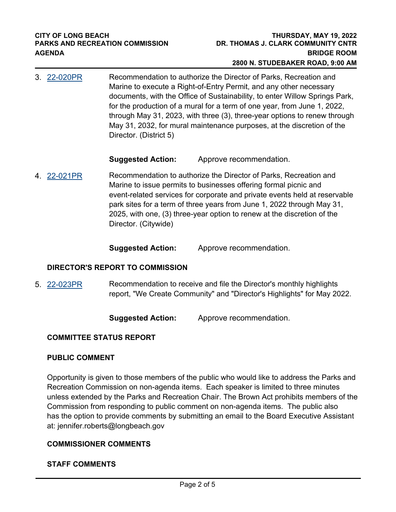Recommendation to authorize the Director of Parks, Recreation and Marine to execute a Right-of-Entry Permit, and any other necessary documents, with the Office of Sustainability, to enter Willow Springs Park, for the production of a mural for a term of one year, from June 1, 2022, through May 31, 2023, with three (3), three-year options to renew through May 31, 2032, for mural maintenance purposes, at the discretion of the Director. (District 5) 3. [22-020PR](http://longbeach.legistar.com/gateway.aspx?M=L&ID=239600)

## **Suggested Action:** Approve recommendation.

Recommendation to authorize the Director of Parks, Recreation and Marine to issue permits to businesses offering formal picnic and event-related services for corporate and private events held at reservable park sites for a term of three years from June 1, 2022 through May 31, 2025, with one, (3) three-year option to renew at the discretion of the Director. (Citywide) 4. [22-021PR](http://longbeach.legistar.com/gateway.aspx?M=L&ID=239601)

## **Suggested Action:** Approve recommendation.

### **DIRECTOR'S REPORT TO COMMISSION**

Recommendation to receive and file the Director's monthly highlights report, "We Create Community" and "Director's Highlights" for May 2022. 5. [22-023PR](http://longbeach.legistar.com/gateway.aspx?M=L&ID=239603)

**Suggested Action:** Approve recommendation.

### **COMMITTEE STATUS REPORT**

### **PUBLIC COMMENT**

Opportunity is given to those members of the public who would like to address the Parks and Recreation Commission on non-agenda items. Each speaker is limited to three minutes unless extended by the Parks and Recreation Chair. The Brown Act prohibits members of the Commission from responding to public comment on non-agenda items. The public also has the option to provide comments by submitting an email to the Board Executive Assistant at: jennifer.roberts@longbeach.gov

### **COMMISSIONER COMMENTS**

### **STAFF COMMENTS**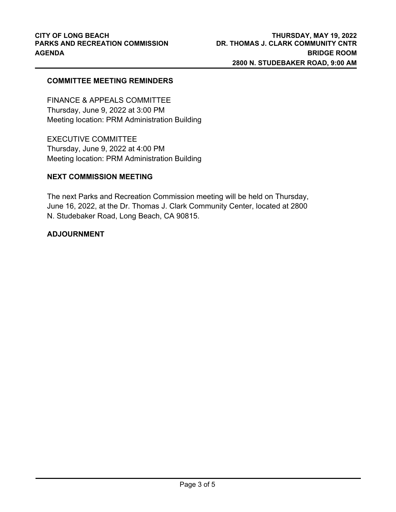### **COMMITTEE MEETING REMINDERS**

FINANCE & APPEALS COMMITTEE Thursday, June 9, 2022 at 3:00 PM Meeting location: PRM Administration Building

EXECUTIVE COMMITTEE Thursday, June 9, 2022 at 4:00 PM Meeting location: PRM Administration Building

#### **NEXT COMMISSION MEETING**

The next Parks and Recreation Commission meeting will be held on Thursday, June 16, 2022, at the Dr. Thomas J. Clark Community Center, located at 2800 N. Studebaker Road, Long Beach, CA 90815.

#### **ADJOURNMENT**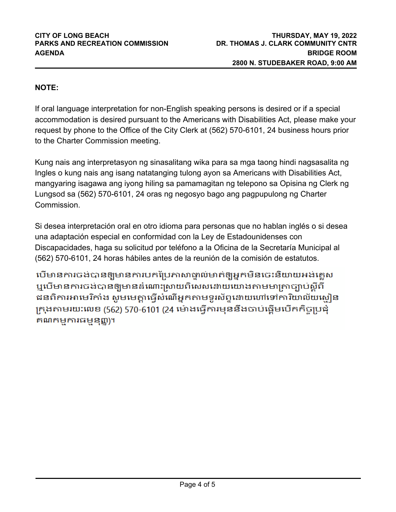# **NOTE:**

If oral language interpretation for non-English speaking persons is desired or if a special accommodation is desired pursuant to the Americans with Disabilities Act, please make your request by phone to the Office of the City Clerk at (562) 570-6101, 24 business hours prior to the Charter Commission meeting.

Kung nais ang interpretasyon ng sinasalitang wika para sa mga taong hindi nagsasalita ng Ingles o kung nais ang isang natatanging tulong ayon sa Americans with Disabilities Act, mangyaring isagawa ang iyong hiling sa pamamagitan ng telepono sa Opisina ng Clerk ng Lungsod sa (562) 570-6101, 24 oras ng negosyo bago ang pagpupulong ng Charter Commission.

Si desea interpretación oral en otro idioma para personas que no hablan inglés o si desea una adaptación especial en conformidad con la Ley de Estadounidenses con Discapacidades, haga su solicitud por teléfono a la Oficina de la Secretaría Municipal al (562) 570-6101, 24 horas hábiles antes de la reunión de la comisión de estatutos.

បើមានការចង់បានឲ្យមានការបកប្រែភាសាធ្ងាល់មាត់ឲ្យអ្នកមិនចេះនិយាយអង់គ្លេស ឬបើមានការចង់បានឲ្យមានដំណោះស្រាយពិសេសដោយយោងតាមមាត្រាច្បាប់ស្តីពី ជនពិការអាមេរិកាំង សូមមេត្តាធ្វើសំណើអ្នកតាមទូរស័ព្ទនោយហៅទៅការិយាល័យសៀន ក្រុងតាមរយៈលេខ (562) 570-6101 (24 ម៉ោងធ្វើការមុននឹងចាប់ផ្តើមបើកកិច្ចប្រជុំ គណកម្មការធម្មនុញ្ញ)។